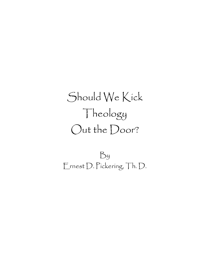# Should We Kick Theology Out the Door?

By Ernest D. Pickering, Th. D.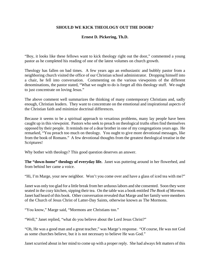### **SHOULD WE KICK THEOLOGY OUT THE DOOR?**

## **Ernest D. Pickering, Th.D.**

"Boy, it looks like these fellows want to kick theology right out the door," commented a young pastor as he completed his reading of one of the latest volumes on church growth.

Theology has fallen on bad times. A few years ago an enthusiastic and bubbly pastor from a neighboring church visited the office of our Christian school administrator. Dropping himself into a chair, he fell into conversation. Commenting on the various viewpoints of the different denominations, the pastor stated, "What we ought to do is forget all this theology stuff. We ought to just concentrate on loving Jesus."

The above comment well summarizes the thinking of many contemporary Christians and, sadly enough, Christian leaders. They want to concentrate on the emotional and inspirational aspects of the Christian faith and minimize doctrinal differences.

Because it seems to be a spiritual approach to vexatious problems, many lay people have been caught up in this viewpoint. Pastors who seek to preach on theological truths often find themselves opposed by their people. It reminds me of a dear brother in one of my congregations years ago. He remarked, "You preach too much on theology. You ought to give more devotional messages, like from the book of Romans." A few devotional thoughts from the greatest theological treatise in the Scriptures!

Why bother with theology? This good question deserves an answer.

**The "down-home" theology of everyday life.** Janet was puttering around in her flowerbed, and from behind her came a voice.

"Hi, I'm Marge, your new neighbor. Won't you come over and have a glass of iced tea with me?"

Janet was only too glad for a little break from her arduous labors and she consented. Soon they were seated in the cozy kitchen, sipping their tea. On the table was a book entitled *The Book of Mormon.* Janet had heard of this book. Other conversation revealed that Marge and her family were members of the Church of Jesus Christ of Latter-Day Saints, otherwise known as The Mormons.

"You know," Marge said, "Mormons are Christians too."

"Well," Janet replied, "what do you believe about the Lord Jesus Christ?"

"Oh, He was a good man and a great teacher," was Marge's response. "Of course, He was not God as some churches believe, but it is not necessary to believe He was God."

Janet scurried about in her mind to come up with a proper reply. She had always felt matters of this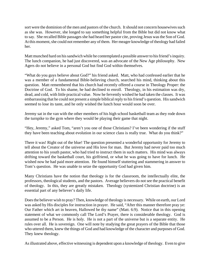sort were the dominion of the men and pastors of the church. It should not concern housewives such as she was. However, she longed to say something helpful from the Bible but did not know what to say. She recalled Bible passages she had heard her pastor cite, proving Jesus was the Son of God. At this moment, she could not remember any of them. Her meager knowledge of theology had failed her.

Matt munched hard on his sandwich while he contemplated a possible answer to his friend's inquiry. The lunch companion, he had just discovered, was an advocate of the New Age philosophy. New Agers do not believe in a personal God but find God within themselves.

"What do you guys believe about God?" his friend asked. Matt, who had confessed earlier that he was a member of a fundamental Bible-believing church, searched his mind, thinking about this question. Matt remembered that his church had recently offered a course in Theology Proper: the Doctrine of God. To his shame, he had declined to enroll. Theology, in his estimation was dry, dead, and cold, with little practical value. Now he fervently wished he had taken the classes. It was embarrassing that he could not present a simple biblical reply to his friend's question. His sandwich seemed to lose its taste, and he only wished the lunch hour would soon be over.

Jeremy sat in the van with the other members of his high school basketball team as they rode down the turnpike to the gym where they would be playing their game that night.

"Hey, Jeremy," asked Tom, "aren't you one of those Christians? I've been wondering if the stuff they have been teaching about evolution in our science class is really true. What do you think?"

There it was! Right out of the blue! The question presented a wonderful opportunity for Jeremy to tell about the Creator of the universe and His love for man. But Jeremy had never paid too much attention to his youth pastor, who had tried to instruct them in such matters. His mind was always drifting toward the basketball court, his girlfriend, or what he was going to have for lunch. He wished now he had paid more attention. He found himself stuttering and stammering in answer to Tom's question. He was unable to seize the opportunity God had given him.

Many Christians have the notion that theology is for the classroom, the intellectually elite, the professors, theological students, and the pastors. Average believers do not see the practical benefit of theology. In this, they are greatly mistaken. Theology (systemized Christian doctrine) is an essential part of any believer's daily life.

Does the believer wish to pray? Then, knowledge of theology is necessary. While on earth, our Lord was asked by His disciples for instruction in prayer. He said, "After this manner therefore pray ye: Our Father which art in heaven, Hallowed be thy name" (Matt. 6:9). Notice that in this opening statement of what we commonly call The Lord's Prayer, there is considerable theology. God is assumed to be a Person. He is holy. He is not a part of the universe but is a separate entity. He rules over all. He is sovereign. One will note by studying the great prayers of the Bible that those who uttered them, knew the things of God and had knowledge of the character and purposes of God. They knew theology.

As illustrated above, effective witnessing is dependent upon a knowledge of theology. Even to give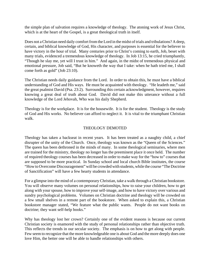the simple plan of salvation requires a knowledge of theology. The atoning work of Jesus Christ, which is at the heart of the Gospel, is a great theological truth in itself.

Does not a Christian need daily comfort from the Lord in the midst of trials and tribulations? A deep, certain, and biblical knowledge of God, His character, and purposes is essential for the believer to have victory in the hour of trial. Many centuries prior to Christ's coming to earth, Job, beset with many trials, evidenced a tremendous knowledge of theology. In Job 13:15, he cried triumphantly, "Though he slay me, yet will I trust in him." And again, in the midst of tremendous physical and emotional pressure, Job said, "But he knoweth the way that I take: when he hath tried me, I shall come forth as gold" (Job 23:10).

The Christian needs daily guidance from the Lord. In order to obtain this, he must have a biblical understanding of God and His ways. He must be acquainted with theology. "He leadeth me," said the great psalmist David (Psa. 23:2). Surrounding this certain acknowledgment, however, requires knowing a great deal of truth about God. David did not make this utterance without a full knowledge of the Lord Jehovah, Who was his daily Shepherd.

Theology is for the workplace. It is for the housewife. It is for the student. Theology is the study of God and His works. No believer can afford to neglect it. It is vital to the triumphant Christian walk.

#### THEOLOGY DEMOTED

Theology has taken a backseat in recent years. It has been treated as a naughty child, a chief disrupter of the unity of the Church. Once, theology was known as the "Queen of the Sciences." The queen has been dethroned in the minds of many. In some theological seminaries, where men are trained for the ministry, theology no longer has the preeminent place it once held. The number of required theology courses has been decreased in order to make way for the "how to" courses that are supposed to be more practical. In Sunday school and local church Bible institutes, the course "How to Overcome Discouragement" will be crowded with students, while the course "The Doctrine of Sanctification" will have a few hearty students in attendance.

For a glimpse into the mind of a contemporary Christian, take a walk through a Christian bookstore. You will observe many volumes on personal relationships, how to raise your children, how to get along with your spouse, how to improve your self-image, and how to have victory over various and sundry psychological problems. Volumes on Christian doctrine and theology will be crowded on a few small shelves in a remote part of the bookstore. When asked to explain this, a Christian bookstore manager stated, "We feature what the public wants. People do not want books on doctrine; they want self-help books."

Why has theology lost her crown? Certainly one of the evident reasons is because our current Christian society is enamored with the study of personal relationships rather than objective truth. This reflects the trends in our secular society. The emphasis is on how to get along with people. Few seem to recognize that the more knowledgeable one is about God and the more deeply does one love Him, the better one will be able to handle relationships with others.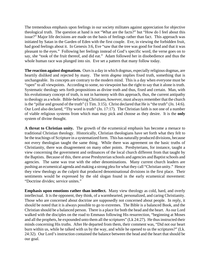The tremendous emphasis upon feelings in our society militates against appreciation for objective theological truth. The question at hand is not "What are the facts?" but "How do I feel about this issue?" Major life decisions are made on the basis of feelings rather than fact. This approach was initiated by Satan in the Garden of Eden with the first couple. Eve, in viewing the forbidden fruit, had good feelings about it. In Genesis 3:6, Eve "saw that the tree was good for food and that it was pleasant to the eyes." Following her feelings instead of God's specific word, the verse goes on to say, she "took of the fruit thereof, and did eat." Adam followed her in disobedience and thus the whole human race was plunged into sin. Eve set a pattern that many follow today.

**The reaction against dogmatism.** Ours is a day in which dogmas, especially religious dogmas, are heartily disliked and rejected by many. The term *dogma* implies fixed truth, something that is unchangeable. Its concepts are contrary to the modern mind. This is a day when everyone must be "open" to all viewpoints. According to some, no viewpoint has the right to say that it alone is truth. Systematic theology sets forth propositions as divine truth and thus, fixed and certain. Man, with his evolutionary concept of truth, is not in harmony with this approach, thus, the current antipathy to theology as a whole. Bible-believing Christians, however, must always remember that the church is the "pillar and ground of the truth" (1 Tim. 3:15). Christ declared that He is "the truth" (Jn. 14:6). Our Lord also declared, "Thy word is truth" (Jn. 17:17). The Christian faith is not one of a number of viable religious systems from which man may pick and choose as they desire. It is the **only** system of divine thought.

**A threat to Christian unity.** The growth of the ecumenical emphasis has become a menace to traditional Christian theology. Historically, Christian theologians have set forth what they felt to be the teachings of Scripture in a systematized form. This has naturally produced divisions, because not every theologian taught the same thing. While there was agreement on the basic truths of Christianity, there was disagreement on many other points. Presbyterians, for instance, taught a view concerning the government and ordinances of the local church different from that taught by the Baptists. Because of this, there arose Presbyterian schools and agencies and Baptist schools and agencies. The same was true with the other denominations. Many current church leaders are pushing an ecumenical agenda and making a strong plea for what they call "Christian unity." Hence they view theology as the culprit that produced denominational divisions in the first place. Their sentiments would be expressed by the old slogan found in the early ecumenical movement: "Doctrine divides; service unites."

**Emphasis upon emotions rather than intellect.** Many view theology as cold, hard, and overly intellectual. It is the opponent, they think, of a warmhearted, personalized, and caring Christianity. Those who are concerned about doctrine are supposedly not concerned about people. In reply, it should be noted that it is always possible to go to extremes. The Bible is a balanced Book, and the Christian should be a balanced person. There is a place for both the head and the heart. As our Lord walked with the disciples on the road to Emmaus following His resurrection, "beginning at Moses and all the prophets, he expounded unto them all the scriptures" (Lk 24:27). He thus instructed their minds concerning His truths. After He departed from them, their comment was, "Did not our heart burn within us, while he talked with us by the way, and while he opened to us the scriptures?" (Lk. 24:32). Our Lord's instruction contained the balance between the head and the heart that should be our goal.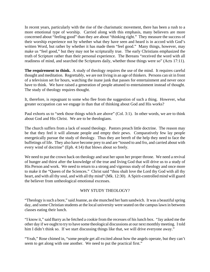In recent years, particularly with the rise of the charismatic movement, there has been a rush to a more emotional type of worship. Carried along with this emphasis, many believers are more concerned about "feeling good" than they are about "thinking right." They measure the success of their worship experience not by whether what they have seen and heard is in accord with God's written Word, but rather by whether it has made them "feel good." Many things, however, may make us "feel good," but they may not be scripturally true. The early Christians emphasized the truth of Scripture rather than their personal experience. The Bereans "received the word with all readiness of mind, and searched the Scriptures daily, whether those things were so" (Acts 17:11).

**The requirement to think.** A study of theology requires the use of the mind. It requires careful thought and meditation. Regrettably, we are not living in an age of thinkers. Persons can sit in front of a television set for hours, watching the inane junk that passes for entertainment and never once have to think. We have raised a generation of people attuned to entertainment instead of thought. The study of theology requires thought.

It, therefore, is repugnant to some who flee from the suggestion of such a thing. However, what greater occupation can we engage in than that of thinking about God and His works?

Paul exhorts us to "seek those things which are above" (Col. 3:1). In other words, we are to think about God and His Christ. We are to be theologians.

The church suffers from a lack of sound theology. Pastors preach little doctrine. The reason may be that they feel it will alienate people and empty their pews. Comparatively few lay people energetically pursue the study of theology. Thus they are bereft of the help they need to face the buffetings of life. They also have become prey to and are "tossed to and fro, and carried about with every wind of doctrine" (Eph. 4:14) that blows about so freely.

We need to put the crown back on theology and seat her upon her proper throne. We need a revival of hunger and thirst after the knowledge of the true and living God that will drive us to a study of His Person and work. We need to return to a strong and vigorous study of theology and once more to make it the "Queen of the Sciences." Christ said "thou shalt love the Lord thy God with all thy heart, and with all thy soul, and with all thy mind" (Mk. 12:30). A Spirit-controlled mind will guard the believer from untheological emotional excesses.

#### WHY STUDY THEOLOGY?

"Theology is such a bore," said Joanne, as she munched her ham sandwich. It was a beautiful spring day, and some Christian students at the local university were seated on the campus lawn in between classes eating their lunch.

"I know it," said Barry as he fetched a cookie from the recesses of his lunch box. "Jay asked me the other day if we ought to try to have some theological discussions at our next monthly meeting. I told him I didn't think so. If we start discussing things like that, we will drive everyone away."

"Yeah," Rose chimed in, "some people get all excited about how the angels operate, but they can't seem to get along with one another. We need to put the practical first."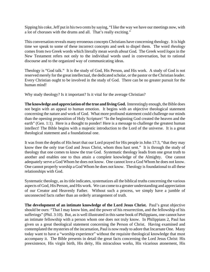Sipping his coke, Jeff put in his two cents by saying, "I like the way we have our meetings now, with a lot of choruses with the drums and all. That's really exciting."

This conversation reveals many erroneous concepts Christians have concerning theology. It is high time we speak to some of these incorrect concepts and seek to dispel them. The word *theology* comes from two Greek words which literally mean *words about God.* The Greek word *logos* in the New Testament refers not only to the individual words used in conversation, but to rational discourse and to the organized way of communicating ideas.

Theology is "God talk." It is the study of God, His Person, and His work. A study of God is not reserved merely for the great intellectual, the dedicated scholar, or the pastor or the Christian leader. Every Christian ought to be involved in the study of God. There can be no greater pursuit for the human mind!

Why study theology? Is it important? Is it vital for the average Christian?

**The knowledge and appreciation of the true and living God.** Interestingly enough, the Bible does not begin with an appeal to human emotion. It begins with an objective theological statement concerning the nature and work of God. What more profound statement could challenge our minds than the opening proposition of Holy Scripture! "In the beginning God created the heaven and the earth" (Gen. 1:1). Here is a thought to ponder! Here is a message to challenge the greatest human intellect! The Bible begins with a majestic introduction to the Lord of the universe. It is a great theological statement and a foundational one.

It was from the depths of His heart that our Lord prayed for His people in John 17:3, "that they may know thee the only true God and Jesus Christ, whom thou hast sent." It is through the study of theology that one comes to know the true God. Systematic theology leads from one great truth to another and enables one to thus attain a complete knowledge of the Almighty. One cannot adequately serve a God Whom he does not know. One cannot love a God Whom he does not know. One cannot properly worship a God Whom he does not know. Theology is foundational to all these relationships with God.

Systematic theology, as its title indicates, systematizes all the biblical truths concerning the various aspects of God, His Person, and His work. We can come to a greater understanding and appreciation of our Creator and Heavenly Father. Without such a process, we simply have a jumble of unconnected facts rather than an orderly arrangement of truth.

**The development of an intimate knowledge of the Lord Jesus Christ.** Paul's great objective should be ours: "That I may know him, and the power of his resurrection, and the fellowship of his sufferings" (Phil. 3:10). But, as is well illustrated in this same book of Philippians, one cannot have an intimate fellowship with a person whom one does not truly know. In Philippians 2, Paul has given us a great theological statement concerning the Person of Christ. Having examined and contemplated the mysteries of the incarnation, Paul is now ready to adore that Incarnate One. Many today want to have a "worship experience" without the requisite theological knowledge that must accompany it. The Bible presents in detail the great facts concerning the Lord Jesus Christ: His preexistence, His virgin birth, His deity, His miraculous works, His vicarious atonement, His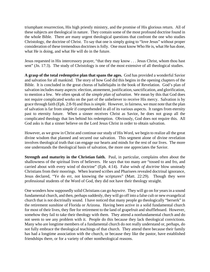triumphant resurrection, His high priestly ministry, and the promise of His glorious return. All of these subjects are theological in nature. They contain some of the most profound doctrine found in the whole Bible. There are many urgent theological questions that confront the one who studies Christology, the doctrine of Christ. To say that one is simply going to "love Jesus" without proper consideration of these tremendous doctrines is folly. One must know Who He is, what He has done, what He is doing, and what He will do in the future.

Jesus requested in His intercessory prayer, "that they may know . . . Jesus Christ, whom thou hast sent" (Jn. 17:3). The study of Christology is one of the most extensive of all theological studies.

**A grasp of the total redemptive plan that spans the ages.** God has provided a wonderful Savior and salvation for all mankind. The story of how God did this begins in the opening chapters of the Bible. It is concluded in the great chorus of hallelujahs in the book of Revelation. God's plan of salvation includes many aspects: election, atonement, justification, sanctification, and glorification, to mention a few. We often speak of the *simple plan of salvation*. We mean by this that God does not require complicated works on the part of the unbeliever to receive His mercy. Salvation is by grace through faith (Eph. 2:8-9) and thus is *simple*. However, in fairness, we must note that the plan of salvation is far from *simple* if comprehended in all of its various aspects. It ranges from eternity past to eternity future. When a sinner receives Christ as Savior, he does not grasp all the complicated theology that lies behind his redemption. Obviously, God does not require this. All God asks is that a sinner believe on the Lord Jesus Christ in order to obtain salvation.

However, as we grow in Christ and continue our study of His Word, we begin to realize all the great divine wisdom that planned and secured our salvation. This segment alone of divine revelation involves theological truth that can engage our hearts and minds for the rest of our lives. The more one understands the theological basis of salvation, the more one appreciates the Savior.

**Strength and maturity in the Christian faith.** Paul, in particular, complains often about the shallowness of the spiritual lives of believers. He says that too many are "tossed to and fro, and carried about with every wind of doctrine" (Eph. 4:14). False *winds of doctrine* blow unsteady Christians from their moorings. When learned scribes and Pharisees revealed doctrinal ignorance, Jesus declared, "Ye do err, not knowing the scriptures" (Matt. 22:29). Though they were professional students of the Word of God, they did not have their theology straight.

One wonders how supposedly solid Christians can go *haywire*. They will go on for years in a sound fundamental church, and then, perhaps suddenly, they will go off into a false cult or new evangelical church that is not doctrinally sound. I have noticed that many people go theologically "berserk" in the retirement sunshine of Florida or Arizona. Having been active in a solid fundamental church for most of their lives, they flee for retirement to the land of grapefruit and shuffleboard. However, somehow they fail to take their theology with them. They attend a nonfundamental church and do not seem to see any problem with it. People do this because they lack theological convictions. Many who are longtime members of a fundamental church do not really understand or, perhaps, do not fully embrace the theological teachings of that church. They attend there because their family has had a longtime association with the church, or because they like the pastor, have established friendships there, or for a variety of other nontheological reasons.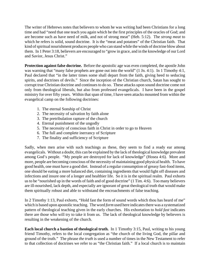The writer of Hebrews notes that believers to whom he was writing had been Christians for a long time and had "need that one teach you again which be the first principles of the oracles of God; and are become such as have need of milk, and not of strong meat" (Heb. 5:12). The *strong meat* to which he refers is solid, sound doctrine. It is the "meat and potatoes" of the Christian faith. That kind of spiritual nourishment produces people who can stand while the winds of doctrine blow about them. In 1 Peter 3:18, believers are encouraged to "grow in grace, and in the knowledge of our Lord and Savior, Jesus Christ."

**Protection against false doctrine.** Before the apostolic age was even completed, the apostle John was warning that "many false prophets are gone out into the world" (1 Jn. 4:1). In 1 Timothy 4:1, Paul declared that "in the latter times some shall depart from the faith, giving heed to seducing spirits, and doctrines of devils." Since the inception of the Christian church, Satan has sought to corrupt true Christian doctrine and continues to do so. These attacks upon sound doctrine come not only from theological liberals, but also from professed evangelicals. I have been in the gospel ministry for over fifty years. Within that span of time, I have seen attacks mounted from within the evangelical camp on the following doctrines:

- 1. The eternal Sonship of Christ
- 2. The necessity of salvation by faith alone
- 3. The pretribulation rapture of the church
- 4. Eternal punishment of the ungodly
- 5. The necessity of conscious faith in Christ in order to go to Heaven
- 6. The full and complete inerrancy of Scripture
- 7. The finality and sufficiency of Scripture

Sadly, when men arise with such teachings as these, they seem to find a ready ear among evangelicals. Without a doubt, this can be explained by the lack of theological knowledge prevalent among God's people. "My people are destroyed for lack of knowledge" (Hosea 4:6). More and more, people are becoming conscious of the necessity of maintaining good physical health. To have good health, one must have a good diet. Instead of a regular consumption of greasy fast-food items, one should be eating a more balanced diet, containing ingredients that would fight off diseases and infections and insure one of a longer and healthier life. So it is in the spiritual realm. Paul exhorts us to be "nourished up in the words of faith and of good doctrine" (1 Tim. 4:6). Too many believers are ill-nourished, lack depth, and especially are ignorant of great theological truth that would make them spiritually robust and able to withstand the encroachments of false teaching.

In 2 Timothy 1:13, Paul exhorts, "Hold fast the form of sound words which thou has heard of me" which is based upon apostolic teaching. The word *form* used here indicates there was a systematized pattern of theological teaching given in the early churches. His exhortation to *hold fast* indicates there are those who will try to take it from us. The lack of theological knowledge by believers is resulting in the weakening of the church.

**Each local church a bastion of theological truth.** In 1 Timothy 3:15, Paul, writing to his young friend Timothy, refers to the local congregation as "the church of the living God, the pillar and ground of the truth." The phrase *the truth* is used a number of times in the New Testament to refer to that collection of doctrines we refer to as "the Christian faith." If a local church is to maintain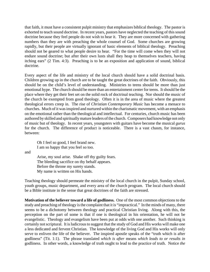that faith, it must have a consistent pulpit ministry that emphasizes biblical theology. The pastor is exhorted to teach sound doctrine. In recent years, pastors have neglected the teaching of this sound doctrine because they feel people do not wish to hear it. They are more concerned with gathering numbers than they are with preaching the whole counsel of God. Some churches are growing rapidly, but their people are virtually ignorant of basic elements of biblical theology. Preaching should not be geared to what people desire to hear. "For the time will come when they will not endure sound doctrine; but after their own lusts shall they heap to themselves teachers, having itching ears" (2 Tim. 4:3). Preaching is to be an exposition and application of sound, biblical doctrine.

Every aspect of the life and ministry of the local church should have a solid doctrinal basis. Children growing up in the church are to be taught the great doctrines of the faith. Obviously, this should be on the child's level of understanding. Ministries to teens should be more than just emotional hype. The church should be more than an entertainment center for teens. It should be the place where they get their feet set on the solid rock of doctrinal teaching. Nor should the music of the church be exempted from good theology. Often it is in the area of music where the greatest theological errors creep in. The rise of *Christian Contemporary Music* has become a menace to churches. Much of it was inspired and nurtured within the charismatic movement, with an emphasis on the emotional rather than the theological and intellectual. For centuries, church music has been authored by skilled and spiritually mature leaders of the church. Composers had knowledge not only of music but of theology. In recent years, youngsters with guitars have become the musical *gurus* for the church. The difference of product is noticeable. There is a vast chasm, for instance, between:

Oh I feel so good, I feel brand new. I am so happy that you feel so too.

and

Arise, my soul arise. Shake off thy guilty fears. The bleeding sacrifice on thy behalf appears. Before the throne my surety stands. My name is written on His hands.

Teaching theology should permeate the ministry of the local church in the pulpit, Sunday school, youth groups, music department, and every area of the church program. The local church should be a Bible institute in the sense that great doctrines of the faith are stressed.

**Motivation of the believer toward a life of godliness.** One of the most common objections to the study and preaching of theology is the complaint that it is "impractical." In the minds of many, there seems to be a dichotomy between theology and practical Christian living. Along with this, the perception on the part of some is that if one is theological in his orientation, he will not be evangelistic. Theology and evangelism have been put at odds with one another. Such thinking is certainly not scriptural. It is ludicrous to suggest that the study of God and His works will make one a less dedicated and fervent Christian. The knowledge of the living God and His works will only serve to enliven the life of the believer. The inspired apostle speaks of the "truth which is after godliness" (Tit. 1:1). The phrase translated *which is after* means *which leads to or results in* godliness. In other words, a knowledge of truth ought to lead to the practice of truth. Notice *the*